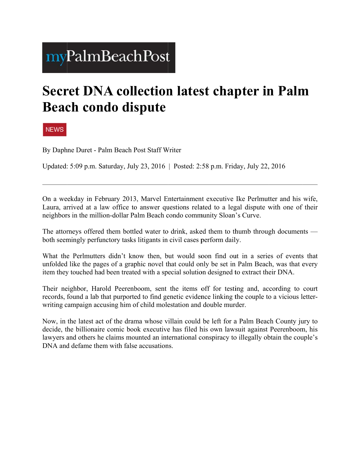## myPalmBeachPost

## **Secret DNA collection latest chapter in Palm Beach condo dispute**

**NEWS** 

By Daphne Duret - Palm Beach Post Staff Writer

Updated: 5:09 p.m. Saturday, July 23, 2016 | Posted: 2:58 p.m. Friday, July 22, 2016

On a weekday in February 2013, Marvel Entertainment executive Ike Perlmutter and his wife, Laura, arrived at a law office to answer questions related to a legal dispute with one of their neighbors in the million-dollar Palm Beach condo community Sloan's Curve.

The attorneys offered them bottled water to drink, asked them to thumb through documents both seemingly perfunctory tasks litigants in civil cases perform daily.

What the Perlmutters didn't know then, but would soon find out in a series of events that unfolded like the pages of a graphic novel that could only be set in Palm Beach, was that every item they touched had been treated with a special solution designed to extract their DNA.

Their neighbor, Harold Peerenboom, sent the items off for testing and, according to court records, found a lab that purported to find genetic evidence linking the couple to a vicious letterwriting campaign accusing him of child molestation and double murder.

Now, in the latest act of the drama whose villain could be left for a Palm Beach County jury to decide, the billionaire comic book executive has filed his own lawsuit against Peerenboom, his lawyers and others he claims mounted an international conspiracy to illegally obtain the couple's DNA and defame them with false accusations.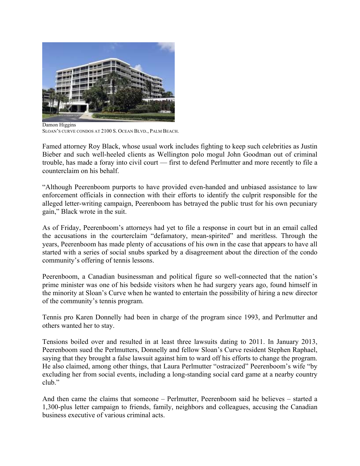

SLOAN'S CURVE CONDOS AT 2100 S. OCEAN BLVD., PALM BEACH.

Famed attorney Roy Black, whose usual work includes fighting to keep such celebrities as Justin Bieber and such well-heeled clients as Wellington polo mogul John Goodman out of criminal trouble, has made a foray into civil court — first to defend Perlmutter and more recently to file a counterclaim on his behalf.

"Although Peerenboom purports to have provided even-handed and unbiased assistance to law enforcement officials in connection with their efforts to identify the culprit responsible for the alleged letter-writing campaign, Peerenboom has betrayed the public trust for his own pecuniary gain," Black wrote in the suit.

As of Friday, Peerenboom's attorneys had yet to file a response in court but in an email called the accusations in the courterclaim "defamatory, mean-spirited" and meritless. Through the years, Peerenboom has made plenty of accusations of his own in the case that appears to have all started with a series of social snubs sparked by a disagreement about the direction of the condo community's offering of tennis lessons.

Peerenboom, a Canadian businessman and political figure so well-connected that the nation's prime minister was one of his bedside visitors when he had surgery years ago, found himself in the minority at Sloan's Curve when he wanted to entertain the possibility of hiring a new director of the community's tennis program.

Tennis pro Karen Donnelly had been in charge of the program since 1993, and Perlmutter and others wanted her to stay.

Tensions boiled over and resulted in at least three lawsuits dating to 2011. In January 2013, Peerenboom sued the Perlmutters, Donnelly and fellow Sloan's Curve resident Stephen Raphael, saying that they brought a false lawsuit against him to ward off his efforts to change the program. He also claimed, among other things, that Laura Perlmutter "ostracized" Peerenboom's wife "by excluding her from social events, including a long-standing social card game at a nearby country club."

And then came the claims that someone – Perlmutter, Peerenboom said he believes – started a 1,300-plus letter campaign to friends, family, neighbors and colleagues, accusing the Canadian business executive of various criminal acts.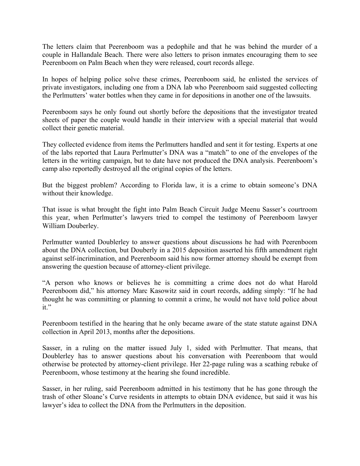The letters claim that Peerenboom was a pedophile and that he was behind the murder of a couple in Hallandale Beach. There were also letters to prison inmates encouraging them to see Peerenboom on Palm Beach when they were released, court records allege.

In hopes of helping police solve these crimes, Peerenboom said, he enlisted the services of private investigators, including one from a DNA lab who Peerenboom said suggested collecting the Perlmutters' water bottles when they came in for depositions in another one of the lawsuits.

Peerenboom says he only found out shortly before the depositions that the investigator treated sheets of paper the couple would handle in their interview with a special material that would collect their genetic material.

They collected evidence from items the Perlmutters handled and sent it for testing. Experts at one of the labs reported that Laura Perlmutter's DNA was a "match" to one of the envelopes of the letters in the writing campaign, but to date have not produced the DNA analysis. Peerenboom's camp also reportedly destroyed all the original copies of the letters.

But the biggest problem? According to Florida law, it is a crime to obtain someone's DNA without their knowledge.

That issue is what brought the fight into Palm Beach Circuit Judge Meenu Sasser's courtroom this year, when Perlmutter's lawyers tried to compel the testimony of Peerenboom lawyer William Douberley.

Perlmutter wanted Doublerley to answer questions about discussions he had with Peerenboom about the DNA collection, but Douberly in a 2015 deposition asserted his fifth amendment right against self-incrimination, and Peerenboom said his now former attorney should be exempt from answering the question because of attorney-client privilege.

"A person who knows or believes he is committing a crime does not do what Harold Peerenboom did," his attorney Marc Kasowitz said in court records, adding simply: "If he had thought he was committing or planning to commit a crime, he would not have told police about it."

Peerenboom testified in the hearing that he only became aware of the state statute against DNA collection in April 2013, months after the depositions.

Sasser, in a ruling on the matter issued July 1, sided with Perlmutter. That means, that Doublerley has to answer questions about his conversation with Peerenboom that would otherwise be protected by attorney-client privilege. Her 22-page ruling was a scathing rebuke of Peerenboom, whose testimony at the hearing she found incredible.

Sasser, in her ruling, said Peerenboom admitted in his testimony that he has gone through the trash of other Sloane's Curve residents in attempts to obtain DNA evidence, but said it was his lawyer's idea to collect the DNA from the Perlmutters in the deposition.